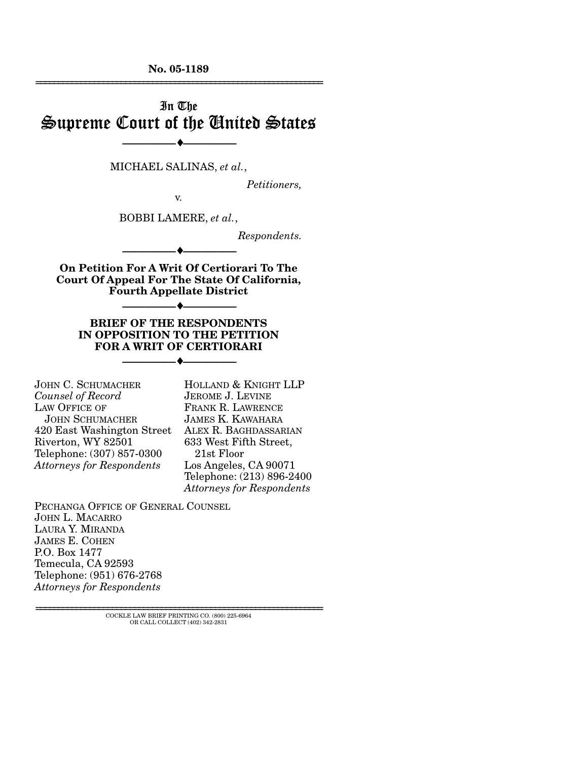**No. 05-1189**  ================================================================

# In The Supreme Court of the United States

MICHAEL SALINAS, *et al.*,

--------------------------------- ♦ ---------------------------------

*Petitioners,* 

BOBBI LAMERE, *et al.*,

v.

*Respondents.* 

**On Petition For A Writ Of Certiorari To The Court Of Appeal For The State Of California, Fourth Appellate District** 

--------------------------------- ♦ ---------------------------------

--------------------------------- ♦ ---------------------------------

**BRIEF OF THE RESPONDENTS IN OPPOSITION TO THE PETITION FOR A WRIT OF CERTIORARI** 

--------------------------------- ♦ ---------------------------------

JOHN C. SCHUMACHER *Counsel of Record* LAW OFFICE OF JOHN SCHUMACHER 420 East Washington Street Riverton, WY 82501 Telephone: (307) 857-0300 *Attorneys for Respondents*

HOLLAND & KNIGHT LLP JEROME J. LEVINE FRANK R. LAWRENCE JAMES K. KAWAHARA ALEX R. BAGHDASSARIAN 633 West Fifth Street, 21st Floor Los Angeles, CA 90071 Telephone: (213) 896-2400 *Attorneys for Respondents*

PECHANGA OFFICE OF GENERAL COUNSEL JOHN L. MACARRO LAURA Y. MIRANDA JAMES E. COHEN P.O. Box 1477 Temecula, CA 92593 Telephone: (951) 676-2768 *Attorneys for Respondents* 

> ================================================================ COCKLE LAW BRIEF PRINTING CO. (800) 225-6964 OR CALL COLLECT (402) 342-2831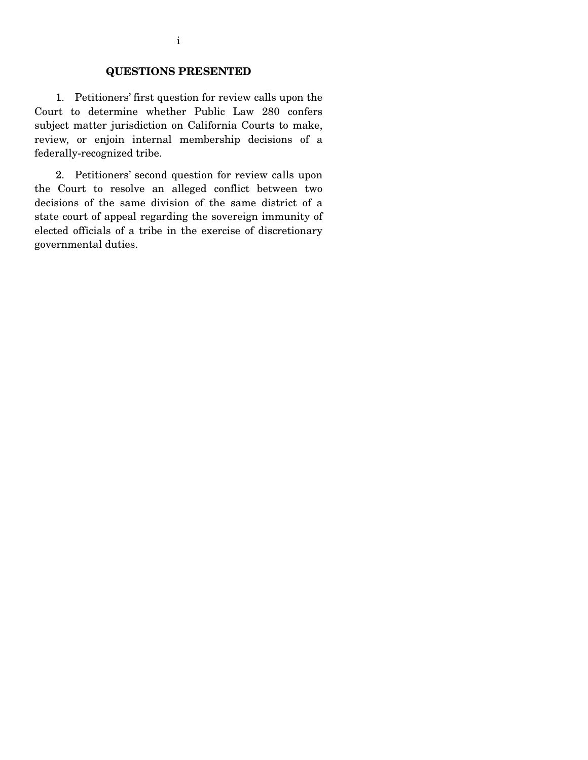## **QUESTIONS PRESENTED**

 1. Petitioners' first question for review calls upon the Court to determine whether Public Law 280 confers subject matter jurisdiction on California Courts to make, review, or enjoin internal membership decisions of a federally-recognized tribe.

 2. Petitioners' second question for review calls upon the Court to resolve an alleged conflict between two decisions of the same division of the same district of a state court of appeal regarding the sovereign immunity of elected officials of a tribe in the exercise of discretionary governmental duties.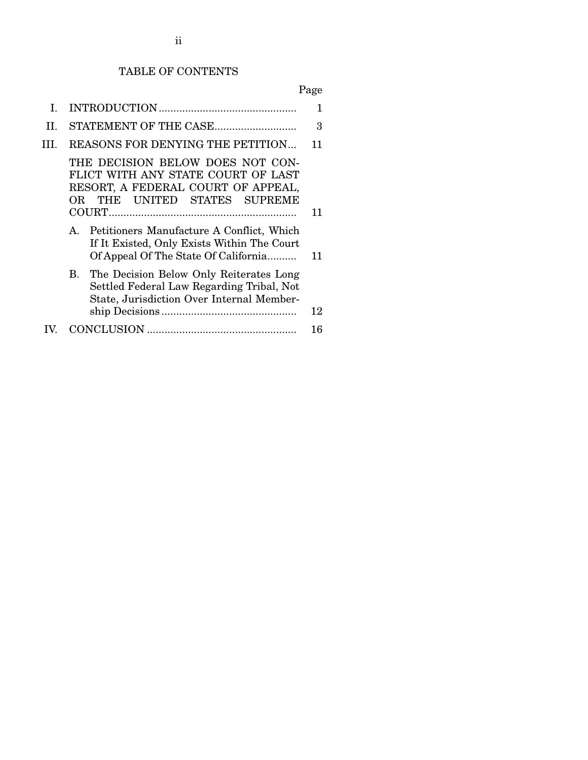# TABLE OF CONTENTS

| L   |                                                                                                                                              |    |  |
|-----|----------------------------------------------------------------------------------------------------------------------------------------------|----|--|
| II. |                                                                                                                                              |    |  |
| Ш.  | REASONS FOR DENYING THE PETITION                                                                                                             |    |  |
|     | THE DECISION BELOW DOES NOT CON-<br>FLICT WITH ANY STATE COURT OF LAST<br>RESORT, A FEDERAL COURT OF APPEAL,<br>OR THE UNITED STATES SUPREME | 11 |  |
|     | Petitioners Manufacture A Conflict, Which<br>$A_{1}$<br>If It Existed, Only Exists Within The Court<br>Of Appeal Of The State Of California  | 11 |  |
|     | The Decision Below Only Reiterates Long<br>В.<br>Settled Federal Law Regarding Tribal, Not<br>State, Jurisdiction Over Internal Member-      |    |  |
|     |                                                                                                                                              | 12 |  |
|     |                                                                                                                                              | 16 |  |
|     |                                                                                                                                              |    |  |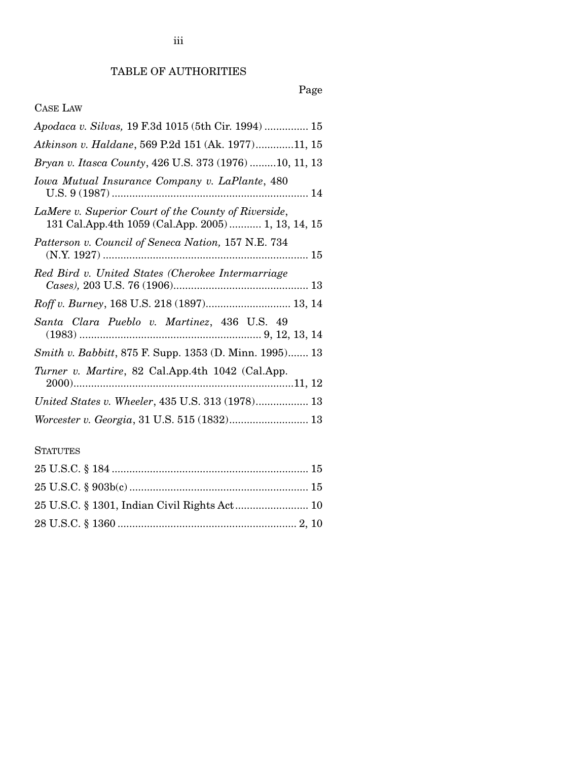# TABLE OF AUTHORITIES

# Page

# CASE LAW

| Apodaca v. Silvas, 19 F.3d 1015 (5th Cir. 1994)  15                                                         |
|-------------------------------------------------------------------------------------------------------------|
| Atkinson v. Haldane, 569 P.2d 151 (Ak. 1977)11, 15                                                          |
| Bryan v. Itasca County, 426 U.S. 373 (1976)10, 11, 13                                                       |
| Iowa Mutual Insurance Company v. LaPlante, 480                                                              |
| LaMere v. Superior Court of the County of Riverside,<br>131 Cal.App.4th 1059 (Cal.App. 2005)  1, 13, 14, 15 |
| Patterson v. Council of Seneca Nation, 157 N.E. 734                                                         |
| Red Bird v. United States (Cherokee Intermarriage                                                           |
| Roff v. Burney, 168 U.S. 218 (1897) 13, 14                                                                  |
| Santa Clara Pueblo v. Martinez, 436 U.S. 49                                                                 |
| Smith v. Babbitt, 875 F. Supp. 1353 (D. Minn. 1995) 13                                                      |
| Turner v. Martire, 82 Cal.App.4th 1042 (Cal.App.                                                            |
| United States v. Wheeler, 435 U.S. 313 (1978) 13                                                            |
| Worcester v. Georgia, 31 U.S. 515 (1832) 13                                                                 |

# **STATUTES**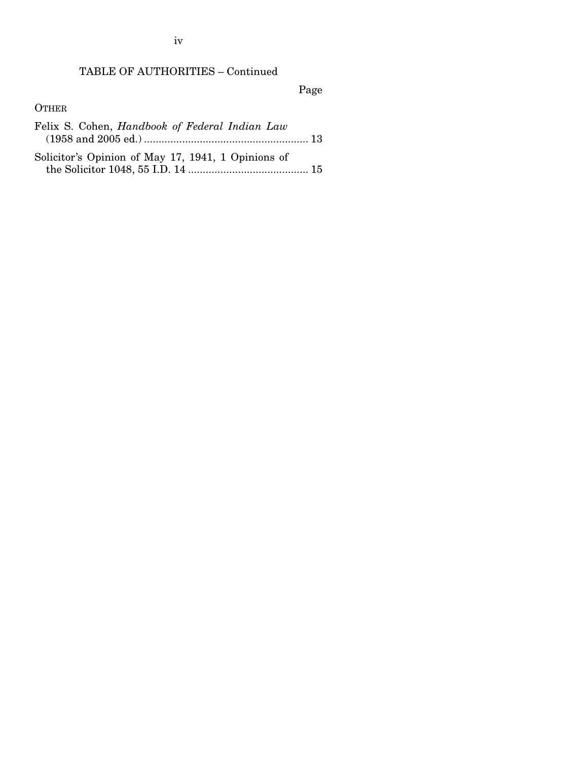iv

# TABLE OF AUTHORITIES – Continued

Page

#### **OTHER**

- Felix S. Cohen, *Handbook of Federal Indian Law* (1958 and 2005 ed.) ........................................................ 13
- Solicitor's Opinion of May 17, 1941, 1 Opinions of the Solicitor 1048, 55 I.D. 14 ......................................... 15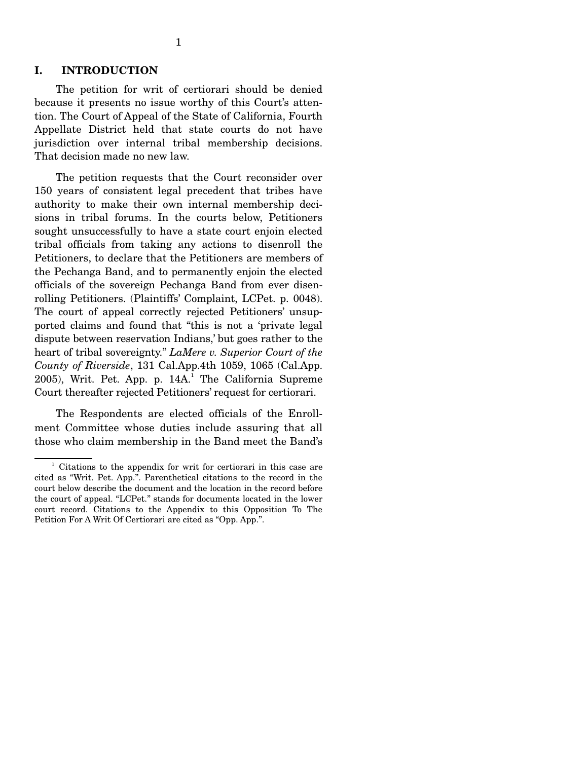#### **I. INTRODUCTION**

 The petition for writ of certiorari should be denied because it presents no issue worthy of this Court's attention. The Court of Appeal of the State of California, Fourth Appellate District held that state courts do not have jurisdiction over internal tribal membership decisions. That decision made no new law.

 The petition requests that the Court reconsider over 150 years of consistent legal precedent that tribes have authority to make their own internal membership decisions in tribal forums. In the courts below, Petitioners sought unsuccessfully to have a state court enjoin elected tribal officials from taking any actions to disenroll the Petitioners, to declare that the Petitioners are members of the Pechanga Band, and to permanently enjoin the elected officials of the sovereign Pechanga Band from ever disenrolling Petitioners. (Plaintiffs' Complaint, LCPet. p. 0048). The court of appeal correctly rejected Petitioners' unsupported claims and found that "this is not a 'private legal dispute between reservation Indians,' but goes rather to the heart of tribal sovereignty." *LaMere v. Superior Court of the County of Riverside*, 131 Cal.App.4th 1059, 1065 (Cal.App.  $2005$ ), Writ. Pet. App. p. 14A.<sup>1</sup> The California Supreme Court thereafter rejected Petitioners' request for certiorari.

 The Respondents are elected officials of the Enrollment Committee whose duties include assuring that all those who claim membership in the Band meet the Band's

<sup>&</sup>lt;sup>1</sup> Citations to the appendix for writ for certiorari in this case are cited as "Writ. Pet. App.". Parenthetical citations to the record in the court below describe the document and the location in the record before the court of appeal. "LCPet." stands for documents located in the lower court record. Citations to the Appendix to this Opposition To The Petition For A Writ Of Certiorari are cited as "Opp. App.".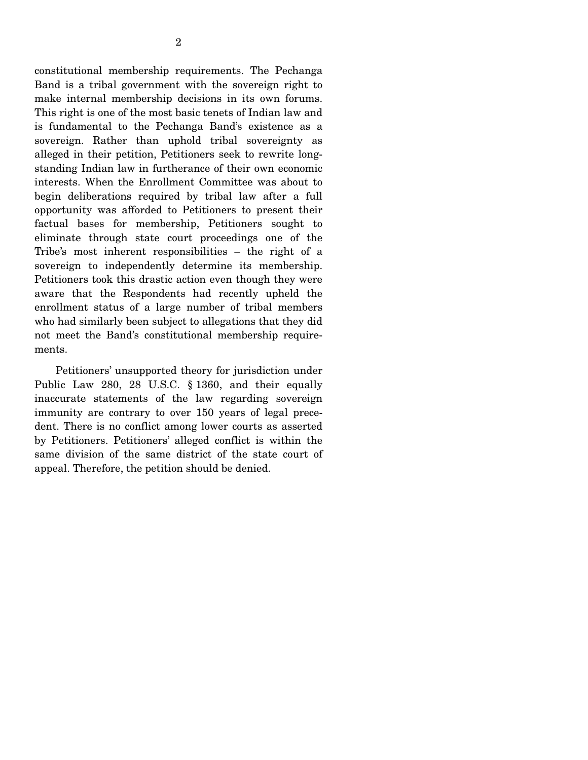2

Band is a tribal government with the sovereign right to make internal membership decisions in its own forums. This right is one of the most basic tenets of Indian law and is fundamental to the Pechanga Band's existence as a sovereign. Rather than uphold tribal sovereignty as alleged in their petition, Petitioners seek to rewrite longstanding Indian law in furtherance of their own economic interests. When the Enrollment Committee was about to begin deliberations required by tribal law after a full opportunity was afforded to Petitioners to present their factual bases for membership, Petitioners sought to eliminate through state court proceedings one of the Tribe's most inherent responsibilities – the right of a sovereign to independently determine its membership. Petitioners took this drastic action even though they were aware that the Respondents had recently upheld the enrollment status of a large number of tribal members who had similarly been subject to allegations that they did not meet the Band's constitutional membership requirements.

 Petitioners' unsupported theory for jurisdiction under Public Law 280, 28 U.S.C. § 1360, and their equally inaccurate statements of the law regarding sovereign immunity are contrary to over 150 years of legal precedent. There is no conflict among lower courts as asserted by Petitioners. Petitioners' alleged conflict is within the same division of the same district of the state court of appeal. Therefore, the petition should be denied.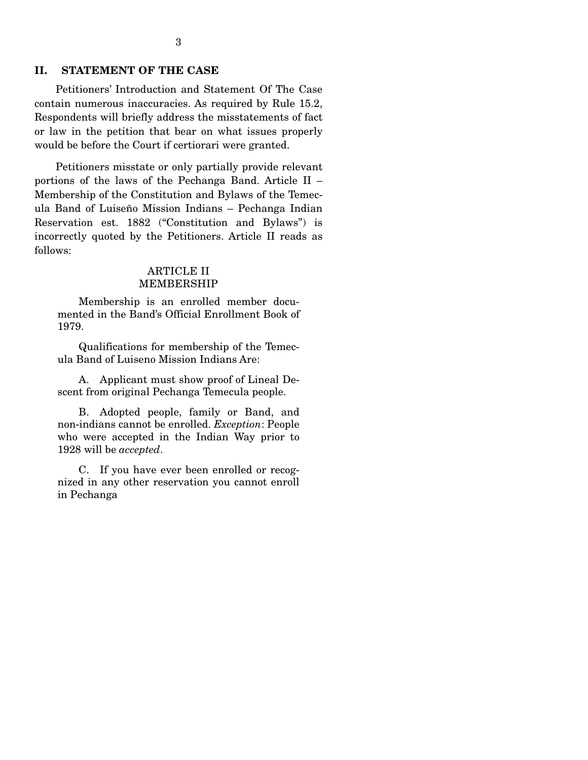#### **II. STATEMENT OF THE CASE**

 Petitioners' Introduction and Statement Of The Case contain numerous inaccuracies. As required by Rule 15.2, Respondents will briefly address the misstatements of fact or law in the petition that bear on what issues properly would be before the Court if certiorari were granted.

 Petitioners misstate or only partially provide relevant portions of the laws of the Pechanga Band. Article II – Membership of the Constitution and Bylaws of the Temecula Band of Luiseño Mission Indians – Pechanga Indian Reservation est. 1882 ("Constitution and Bylaws") is incorrectly quoted by the Petitioners. Article II reads as follows:

#### ARTICLE II MEMBERSHIP

 Membership is an enrolled member documented in the Band's Official Enrollment Book of 1979.

 Qualifications for membership of the Temecula Band of Luiseno Mission Indians Are:

 A. Applicant must show proof of Lineal Descent from original Pechanga Temecula people.

 B. Adopted people, family or Band, and non-indians cannot be enrolled. *Exception*: People who were accepted in the Indian Way prior to 1928 will be *accepted*.

 C. If you have ever been enrolled or recognized in any other reservation you cannot enroll in Pechanga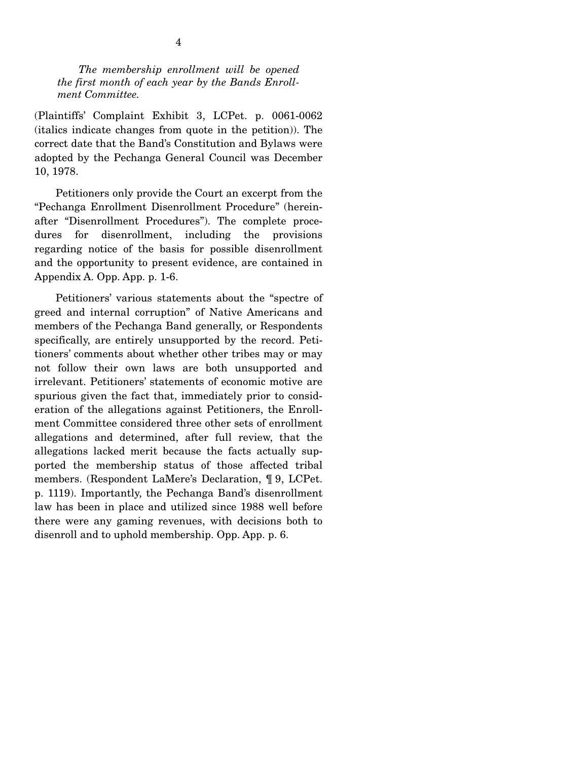*The membership enrollment will be opened the first month of each year by the Bands Enrollment Committee.* 

(Plaintiffs' Complaint Exhibit 3, LCPet. p. 0061-0062 (italics indicate changes from quote in the petition)). The correct date that the Band's Constitution and Bylaws were adopted by the Pechanga General Council was December 10, 1978.

 Petitioners only provide the Court an excerpt from the "Pechanga Enrollment Disenrollment Procedure" (hereinafter "Disenrollment Procedures"). The complete procedures for disenrollment, including the provisions regarding notice of the basis for possible disenrollment and the opportunity to present evidence, are contained in Appendix A. Opp. App. p. 1-6.

 Petitioners' various statements about the "spectre of greed and internal corruption" of Native Americans and members of the Pechanga Band generally, or Respondents specifically, are entirely unsupported by the record. Petitioners' comments about whether other tribes may or may not follow their own laws are both unsupported and irrelevant. Petitioners' statements of economic motive are spurious given the fact that, immediately prior to consideration of the allegations against Petitioners, the Enrollment Committee considered three other sets of enrollment allegations and determined, after full review, that the allegations lacked merit because the facts actually supported the membership status of those affected tribal members. (Respondent LaMere's Declaration, ¶ 9, LCPet. p. 1119). Importantly, the Pechanga Band's disenrollment law has been in place and utilized since 1988 well before there were any gaming revenues, with decisions both to disenroll and to uphold membership. Opp. App. p. 6.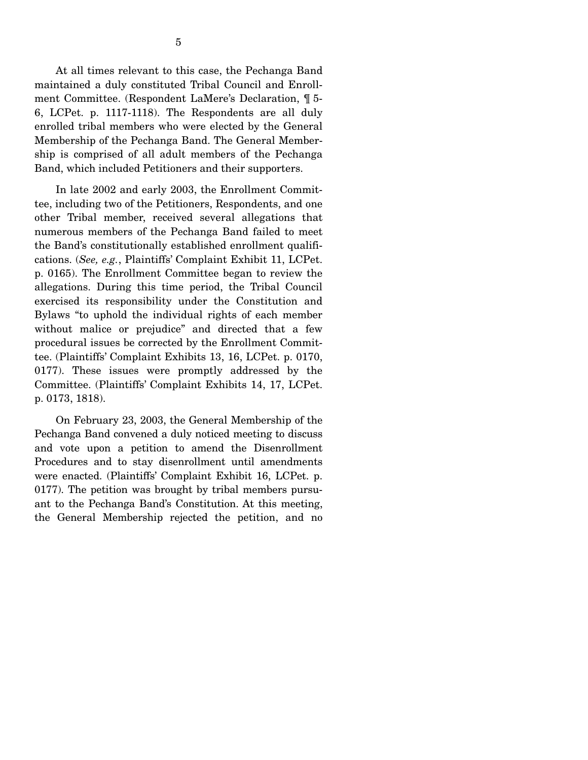At all times relevant to this case, the Pechanga Band maintained a duly constituted Tribal Council and Enrollment Committee. (Respondent LaMere's Declaration, ¶ 5- 6, LCPet. p. 1117-1118). The Respondents are all duly enrolled tribal members who were elected by the General Membership of the Pechanga Band. The General Membership is comprised of all adult members of the Pechanga Band, which included Petitioners and their supporters.

In late 2002 and early 2003, the Enrollment Committee, including two of the Petitioners, Respondents, and one other Tribal member, received several allegations that numerous members of the Pechanga Band failed to meet the Band's constitutionally established enrollment qualifications. (*See, e.g.*, Plaintiffs' Complaint Exhibit 11, LCPet. p. 0165). The Enrollment Committee began to review the allegations. During this time period, the Tribal Council exercised its responsibility under the Constitution and Bylaws "to uphold the individual rights of each member without malice or prejudice" and directed that a few procedural issues be corrected by the Enrollment Committee. (Plaintiffs' Complaint Exhibits 13, 16, LCPet. p. 0170, 0177). These issues were promptly addressed by the Committee. (Plaintiffs' Complaint Exhibits 14, 17, LCPet. p. 0173, 1818).

 On February 23, 2003, the General Membership of the Pechanga Band convened a duly noticed meeting to discuss and vote upon a petition to amend the Disenrollment Procedures and to stay disenrollment until amendments were enacted. (Plaintiffs' Complaint Exhibit 16, LCPet. p. 0177). The petition was brought by tribal members pursuant to the Pechanga Band's Constitution. At this meeting, the General Membership rejected the petition, and no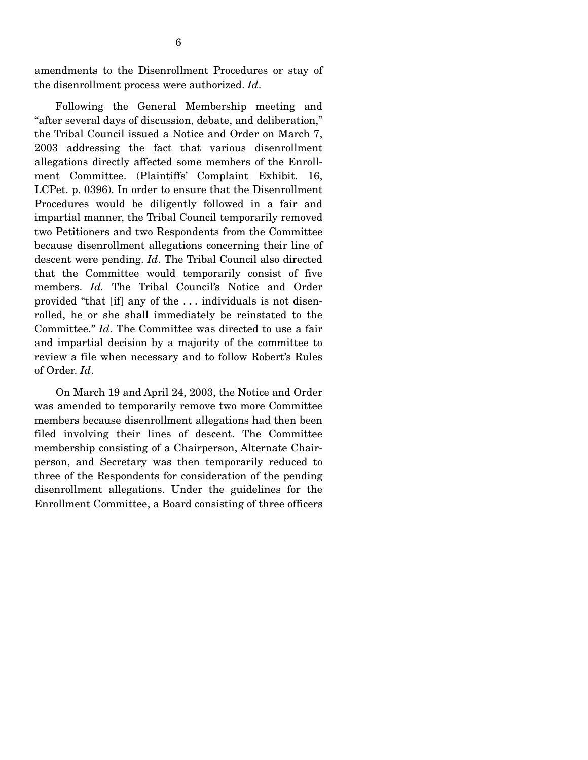amendments to the Disenrollment Procedures or stay of the disenrollment process were authorized. *Id*.

 Following the General Membership meeting and "after several days of discussion, debate, and deliberation," the Tribal Council issued a Notice and Order on March 7, 2003 addressing the fact that various disenrollment allegations directly affected some members of the Enrollment Committee. (Plaintiffs' Complaint Exhibit. 16, LCPet. p. 0396). In order to ensure that the Disenrollment Procedures would be diligently followed in a fair and impartial manner, the Tribal Council temporarily removed two Petitioners and two Respondents from the Committee because disenrollment allegations concerning their line of descent were pending. *Id*. The Tribal Council also directed that the Committee would temporarily consist of five members. *Id.* The Tribal Council's Notice and Order provided "that [if] any of the . . . individuals is not disenrolled, he or she shall immediately be reinstated to the Committee." *Id*. The Committee was directed to use a fair and impartial decision by a majority of the committee to review a file when necessary and to follow Robert's Rules of Order. *Id*.

 On March 19 and April 24, 2003, the Notice and Order was amended to temporarily remove two more Committee members because disenrollment allegations had then been filed involving their lines of descent. The Committee membership consisting of a Chairperson, Alternate Chairperson, and Secretary was then temporarily reduced to three of the Respondents for consideration of the pending disenrollment allegations. Under the guidelines for the Enrollment Committee, a Board consisting of three officers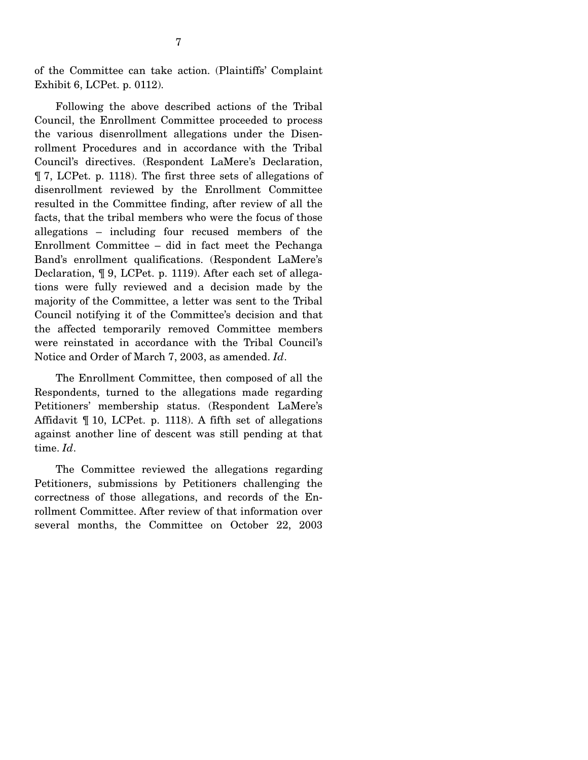of the Committee can take action. (Plaintiffs' Complaint Exhibit 6, LCPet. p. 0112).

 Following the above described actions of the Tribal Council, the Enrollment Committee proceeded to process the various disenrollment allegations under the Disenrollment Procedures and in accordance with the Tribal Council's directives. (Respondent LaMere's Declaration, ¶ 7, LCPet. p. 1118). The first three sets of allegations of disenrollment reviewed by the Enrollment Committee resulted in the Committee finding, after review of all the facts, that the tribal members who were the focus of those allegations – including four recused members of the Enrollment Committee – did in fact meet the Pechanga Band's enrollment qualifications. (Respondent LaMere's Declaration, ¶ 9, LCPet. p. 1119). After each set of allegations were fully reviewed and a decision made by the majority of the Committee, a letter was sent to the Tribal Council notifying it of the Committee's decision and that the affected temporarily removed Committee members were reinstated in accordance with the Tribal Council's Notice and Order of March 7, 2003, as amended. *Id*.

 The Enrollment Committee, then composed of all the Respondents, turned to the allegations made regarding Petitioners' membership status. (Respondent LaMere's Affidavit ¶ 10, LCPet. p. 1118). A fifth set of allegations against another line of descent was still pending at that time. *Id*.

 The Committee reviewed the allegations regarding Petitioners, submissions by Petitioners challenging the correctness of those allegations, and records of the Enrollment Committee. After review of that information over several months, the Committee on October 22, 2003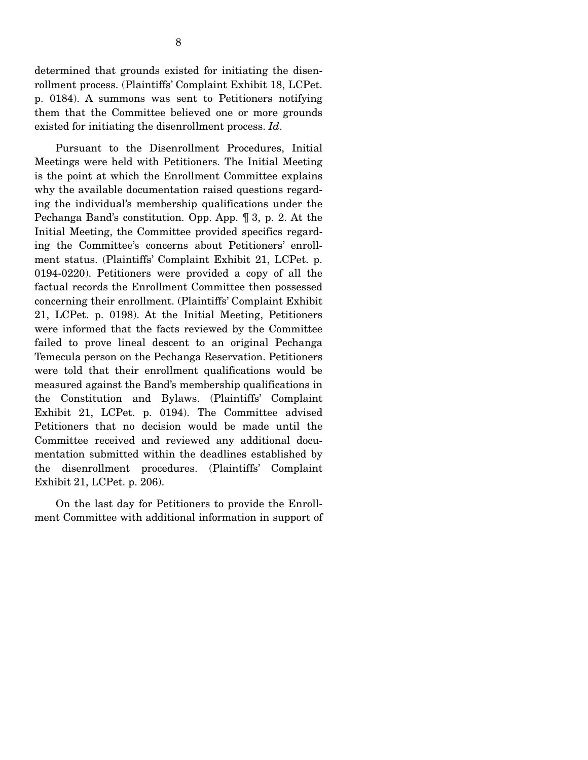determined that grounds existed for initiating the disenrollment process. (Plaintiffs' Complaint Exhibit 18, LCPet. p. 0184). A summons was sent to Petitioners notifying them that the Committee believed one or more grounds existed for initiating the disenrollment process. *Id*.

 Pursuant to the Disenrollment Procedures, Initial Meetings were held with Petitioners. The Initial Meeting is the point at which the Enrollment Committee explains why the available documentation raised questions regarding the individual's membership qualifications under the Pechanga Band's constitution. Opp. App. ¶ 3, p. 2. At the Initial Meeting, the Committee provided specifics regarding the Committee's concerns about Petitioners' enrollment status. (Plaintiffs' Complaint Exhibit 21, LCPet. p. 0194-0220). Petitioners were provided a copy of all the factual records the Enrollment Committee then possessed concerning their enrollment. (Plaintiffs' Complaint Exhibit 21, LCPet. p. 0198). At the Initial Meeting, Petitioners were informed that the facts reviewed by the Committee failed to prove lineal descent to an original Pechanga Temecula person on the Pechanga Reservation. Petitioners were told that their enrollment qualifications would be measured against the Band's membership qualifications in the Constitution and Bylaws. (Plaintiffs' Complaint Exhibit 21, LCPet. p. 0194). The Committee advised Petitioners that no decision would be made until the Committee received and reviewed any additional documentation submitted within the deadlines established by the disenrollment procedures. (Plaintiffs' Complaint Exhibit 21, LCPet. p. 206).

 On the last day for Petitioners to provide the Enrollment Committee with additional information in support of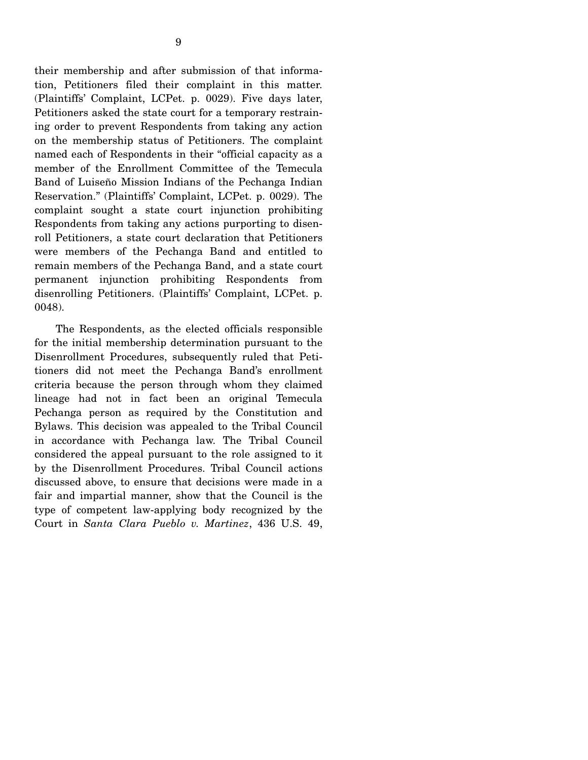their membership and after submission of that information, Petitioners filed their complaint in this matter. (Plaintiffs' Complaint, LCPet. p. 0029). Five days later, Petitioners asked the state court for a temporary restraining order to prevent Respondents from taking any action on the membership status of Petitioners. The complaint named each of Respondents in their "official capacity as a member of the Enrollment Committee of the Temecula Band of Luiseño Mission Indians of the Pechanga Indian Reservation." (Plaintiffs' Complaint, LCPet. p. 0029). The complaint sought a state court injunction prohibiting Respondents from taking any actions purporting to disenroll Petitioners, a state court declaration that Petitioners were members of the Pechanga Band and entitled to remain members of the Pechanga Band, and a state court permanent injunction prohibiting Respondents from disenrolling Petitioners. (Plaintiffs' Complaint, LCPet. p. 0048).

 The Respondents, as the elected officials responsible for the initial membership determination pursuant to the Disenrollment Procedures, subsequently ruled that Petitioners did not meet the Pechanga Band's enrollment criteria because the person through whom they claimed lineage had not in fact been an original Temecula Pechanga person as required by the Constitution and Bylaws. This decision was appealed to the Tribal Council in accordance with Pechanga law. The Tribal Council considered the appeal pursuant to the role assigned to it by the Disenrollment Procedures. Tribal Council actions discussed above, to ensure that decisions were made in a fair and impartial manner, show that the Council is the type of competent law-applying body recognized by the Court in *Santa Clara Pueblo v. Martinez*, 436 U.S. 49,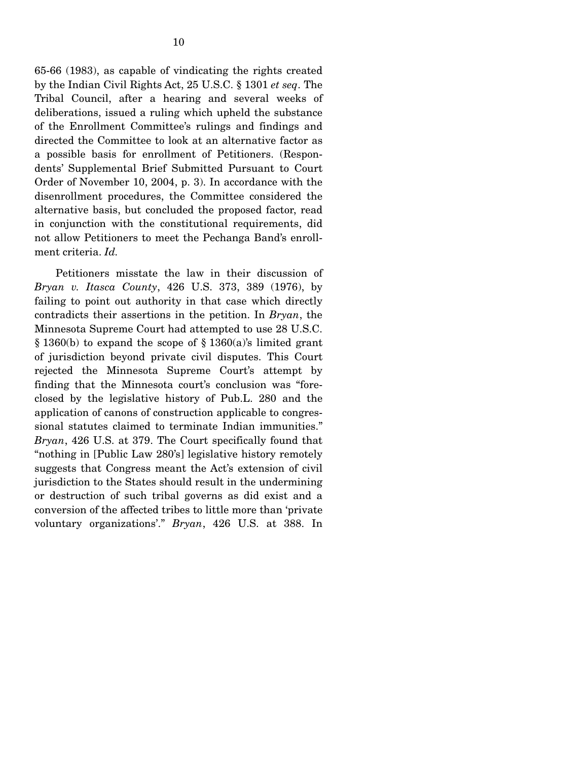65-66 (1983), as capable of vindicating the rights created by the Indian Civil Rights Act, 25 U.S.C. § 1301 *et seq*. The Tribal Council, after a hearing and several weeks of deliberations, issued a ruling which upheld the substance of the Enrollment Committee's rulings and findings and directed the Committee to look at an alternative factor as a possible basis for enrollment of Petitioners. (Respondents' Supplemental Brief Submitted Pursuant to Court Order of November 10, 2004, p. 3). In accordance with the disenrollment procedures, the Committee considered the alternative basis, but concluded the proposed factor, read in conjunction with the constitutional requirements, did not allow Petitioners to meet the Pechanga Band's enrollment criteria. *Id.*

 Petitioners misstate the law in their discussion of *Bryan v. Itasca County*, 426 U.S. 373, 389 (1976), by failing to point out authority in that case which directly contradicts their assertions in the petition. In *Bryan*, the Minnesota Supreme Court had attempted to use 28 U.S.C.  $§ 1360(b)$  to expand the scope of  $§ 1360(a)$ 's limited grant of jurisdiction beyond private civil disputes. This Court rejected the Minnesota Supreme Court's attempt by finding that the Minnesota court's conclusion was "foreclosed by the legislative history of Pub.L. 280 and the application of canons of construction applicable to congressional statutes claimed to terminate Indian immunities." *Bryan*, 426 U.S. at 379. The Court specifically found that "nothing in [Public Law 280's] legislative history remotely suggests that Congress meant the Act's extension of civil jurisdiction to the States should result in the undermining or destruction of such tribal governs as did exist and a conversion of the affected tribes to little more than 'private voluntary organizations'." *Bryan*, 426 U.S. at 388. In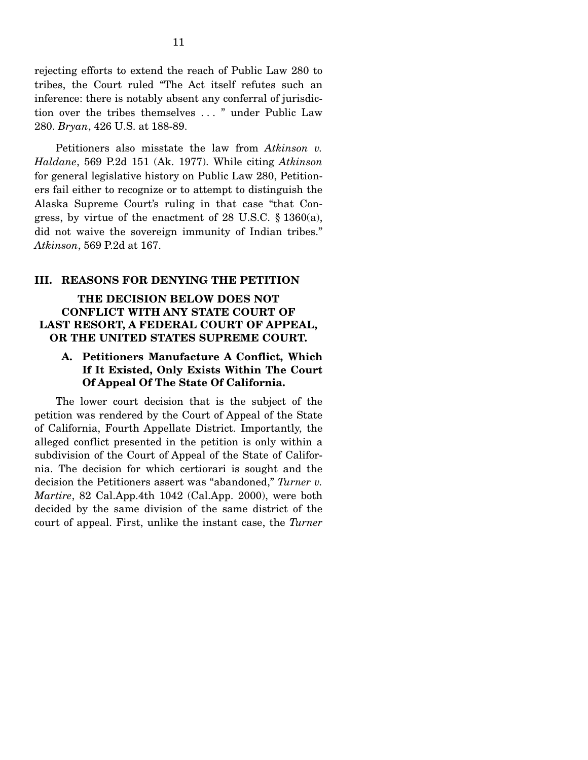rejecting efforts to extend the reach of Public Law 280 to tribes, the Court ruled "The Act itself refutes such an inference: there is notably absent any conferral of jurisdiction over the tribes themselves . . . " under Public Law 280. *Bryan*, 426 U.S. at 188-89.

 Petitioners also misstate the law from *Atkinson v. Haldane*, 569 P.2d 151 (Ak. 1977). While citing *Atkinson* for general legislative history on Public Law 280, Petitioners fail either to recognize or to attempt to distinguish the Alaska Supreme Court's ruling in that case "that Congress, by virtue of the enactment of 28 U.S.C. § 1360(a), did not waive the sovereign immunity of Indian tribes." *Atkinson*, 569 P.2d at 167.

#### **III. REASONS FOR DENYING THE PETITION**

#### **THE DECISION BELOW DOES NOT CONFLICT WITH ANY STATE COURT OF LAST RESORT, A FEDERAL COURT OF APPEAL, OR THE UNITED STATES SUPREME COURT.**

## **A. Petitioners Manufacture A Conflict, Which If It Existed, Only Exists Within The Court Of Appeal Of The State Of California.**

The lower court decision that is the subject of the petition was rendered by the Court of Appeal of the State of California, Fourth Appellate District. Importantly, the alleged conflict presented in the petition is only within a subdivision of the Court of Appeal of the State of California. The decision for which certiorari is sought and the decision the Petitioners assert was "abandoned," *Turner v. Martire*, 82 Cal.App.4th 1042 (Cal.App. 2000), were both decided by the same division of the same district of the court of appeal. First, unlike the instant case, the *Turner*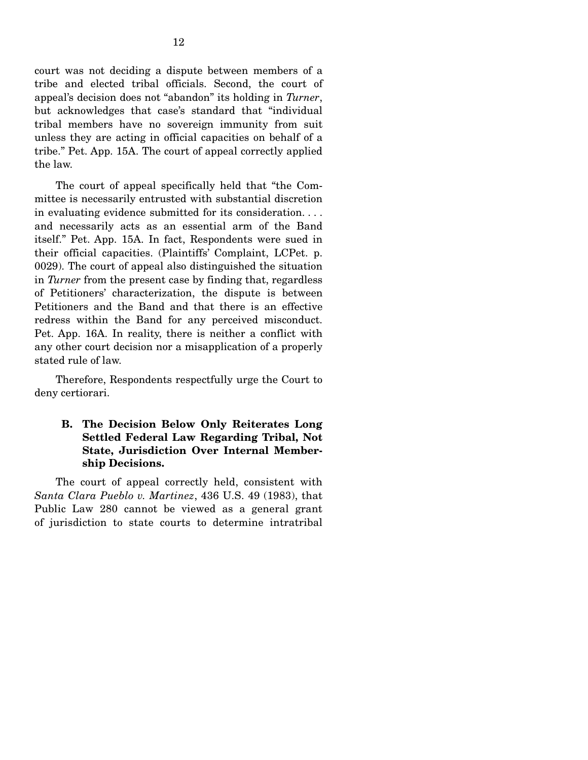court was not deciding a dispute between members of a tribe and elected tribal officials. Second, the court of appeal's decision does not "abandon" its holding in *Turner*, but acknowledges that case's standard that "individual tribal members have no sovereign immunity from suit unless they are acting in official capacities on behalf of a tribe." Pet. App. 15A. The court of appeal correctly applied the law.

 The court of appeal specifically held that "the Committee is necessarily entrusted with substantial discretion in evaluating evidence submitted for its consideration. . . . and necessarily acts as an essential arm of the Band itself." Pet. App. 15A. In fact, Respondents were sued in their official capacities. (Plaintiffs' Complaint, LCPet. p. 0029). The court of appeal also distinguished the situation in *Turner* from the present case by finding that, regardless of Petitioners' characterization, the dispute is between Petitioners and the Band and that there is an effective redress within the Band for any perceived misconduct. Pet. App. 16A. In reality, there is neither a conflict with any other court decision nor a misapplication of a properly stated rule of law.

 Therefore, Respondents respectfully urge the Court to deny certiorari.

## **B. The Decision Below Only Reiterates Long Settled Federal Law Regarding Tribal, Not State, Jurisdiction Over Internal Membership Decisions.**

 The court of appeal correctly held, consistent with *Santa Clara Pueblo v. Martinez*, 436 U.S. 49 (1983), that Public Law 280 cannot be viewed as a general grant of jurisdiction to state courts to determine intratribal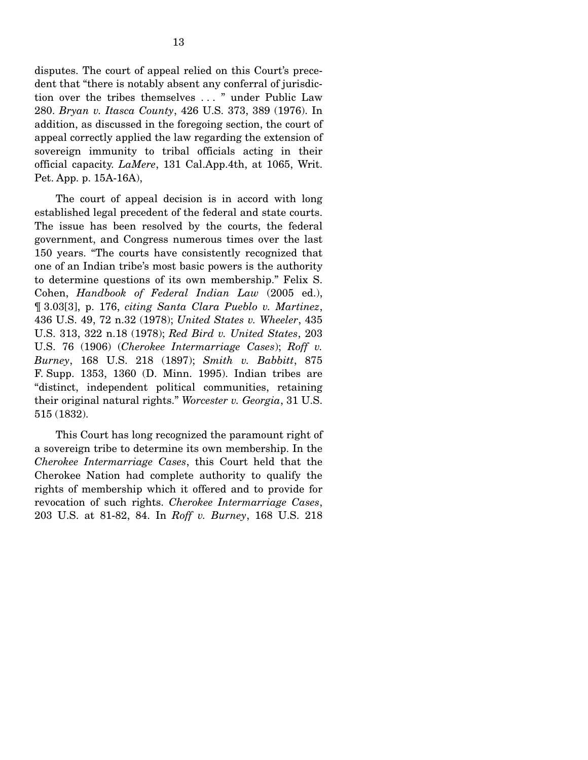disputes. The court of appeal relied on this Court's precedent that "there is notably absent any conferral of jurisdiction over the tribes themselves . . . " under Public Law 280. *Bryan v. Itasca County*, 426 U.S. 373, 389 (1976). In addition, as discussed in the foregoing section, the court of appeal correctly applied the law regarding the extension of sovereign immunity to tribal officials acting in their official capacity. *LaMere*, 131 Cal.App.4th, at 1065, Writ. Pet. App. p. 15A-16A),

 The court of appeal decision is in accord with long established legal precedent of the federal and state courts. The issue has been resolved by the courts, the federal government, and Congress numerous times over the last 150 years. "The courts have consistently recognized that one of an Indian tribe's most basic powers is the authority to determine questions of its own membership." Felix S. Cohen, *Handbook of Federal Indian Law* (2005 ed.), ¶ 3.03[3], p. 176, *citing Santa Clara Pueblo v. Martinez*, 436 U.S. 49, 72 n.32 (1978); *United States v. Wheeler*, 435 U.S. 313, 322 n.18 (1978); *Red Bird v. United States*, 203 U.S. 76 (1906) (*Cherokee Intermarriage Cases*); *Roff v. Burney*, 168 U.S. 218 (1897); *Smith v. Babbitt*, 875 F. Supp. 1353, 1360 (D. Minn. 1995). Indian tribes are "distinct, independent political communities, retaining their original natural rights." *Worcester v. Georgia*, 31 U.S. 515 (1832).

 This Court has long recognized the paramount right of a sovereign tribe to determine its own membership. In the *Cherokee Intermarriage Cases*, this Court held that the Cherokee Nation had complete authority to qualify the rights of membership which it offered and to provide for revocation of such rights. *Cherokee Intermarriage Cases*, 203 U.S. at 81-82, 84. In *Roff v. Burney*, 168 U.S. 218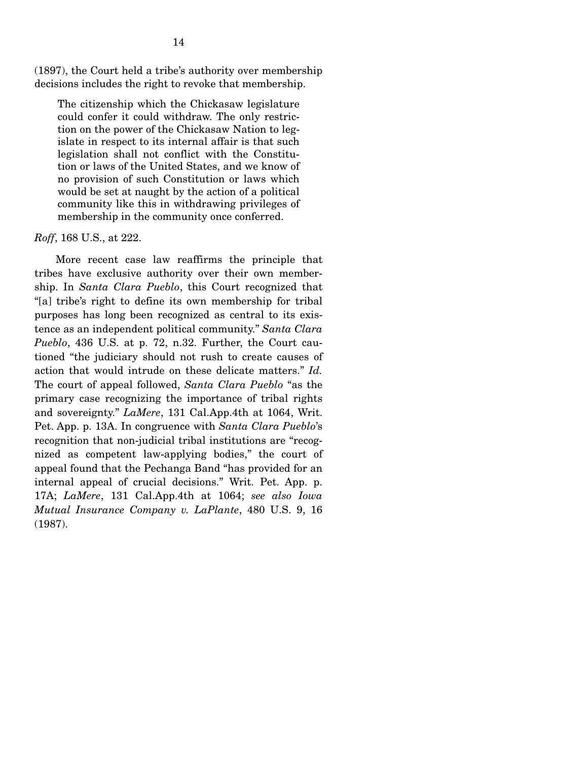(1897), the Court held a tribe's authority over membership decisions includes the right to revoke that membership.

The citizenship which the Chickasaw legislature could confer it could withdraw. The only restriction on the power of the Chickasaw Nation to legislate in respect to its internal affair is that such legislation shall not conflict with the Constitution or laws of the United States, and we know of no provision of such Constitution or laws which would be set at naught by the action of a political community like this in withdrawing privileges of membership in the community once conferred.

#### *Roff*, 168 U.S., at 222.

 More recent case law reaffirms the principle that tribes have exclusive authority over their own membership. In *Santa Clara Pueblo*, this Court recognized that "[a] tribe's right to define its own membership for tribal purposes has long been recognized as central to its existence as an independent political community." *Santa Clara Pueblo*, 436 U.S. at p. 72, n.32. Further, the Court cautioned "the judiciary should not rush to create causes of action that would intrude on these delicate matters." *Id.* The court of appeal followed, *Santa Clara Pueblo* "as the primary case recognizing the importance of tribal rights and sovereignty." *LaMere*, 131 Cal.App.4th at 1064, Writ. Pet. App. p. 13A. In congruence with *Santa Clara Pueblo*'s recognition that non-judicial tribal institutions are "recognized as competent law-applying bodies," the court of appeal found that the Pechanga Band "has provided for an internal appeal of crucial decisions." Writ. Pet. App. p. 17A; *LaMere*, 131 Cal.App.4th at 1064; *see also Iowa Mutual Insurance Company v. LaPlante*, 480 U.S. 9, 16 (1987).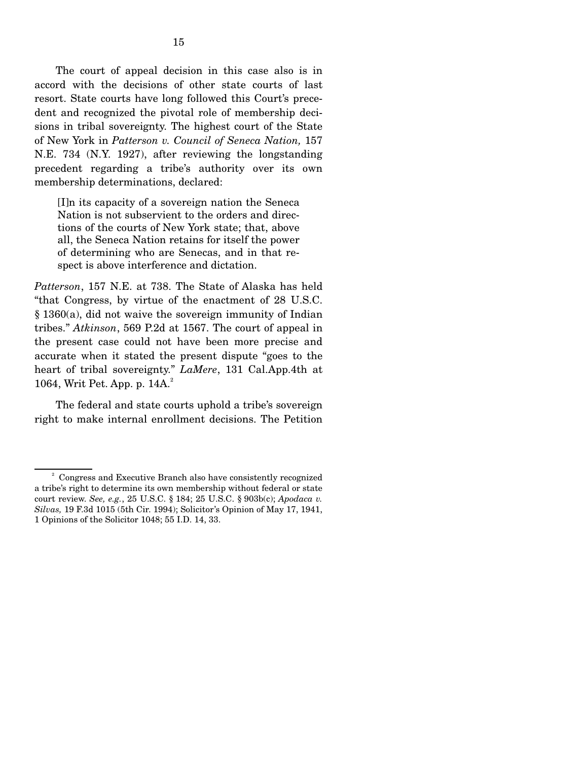The court of appeal decision in this case also is in accord with the decisions of other state courts of last resort. State courts have long followed this Court's precedent and recognized the pivotal role of membership decisions in tribal sovereignty. The highest court of the State of New York in *Patterson v. Council of Seneca Nation,* 157 N.E. 734 (N.Y. 1927), after reviewing the longstanding precedent regarding a tribe's authority over its own membership determinations, declared:

[I]n its capacity of a sovereign nation the Seneca Nation is not subservient to the orders and directions of the courts of New York state; that, above all, the Seneca Nation retains for itself the power of determining who are Senecas, and in that respect is above interference and dictation.

*Patterson*, 157 N.E. at 738. The State of Alaska has held "that Congress, by virtue of the enactment of 28 U.S.C. § 1360(a), did not waive the sovereign immunity of Indian tribes." *Atkinson*, 569 P.2d at 1567. The court of appeal in the present case could not have been more precise and accurate when it stated the present dispute "goes to the heart of tribal sovereignty." *LaMere*, 131 Cal.App.4th at 1064, Writ Pet. App. p. 14A.<sup>2</sup>

 The federal and state courts uphold a tribe's sovereign right to make internal enrollment decisions. The Petition

<sup>2</sup> Congress and Executive Branch also have consistently recognized a tribe's right to determine its own membership without federal or state court review. *See, e.g.*, 25 U.S.C. § 184; 25 U.S.C. § 903b(c); *Apodaca v. Silvas,* 19 F.3d 1015 (5th Cir. 1994); Solicitor's Opinion of May 17, 1941, 1 Opinions of the Solicitor 1048; 55 I.D. 14, 33.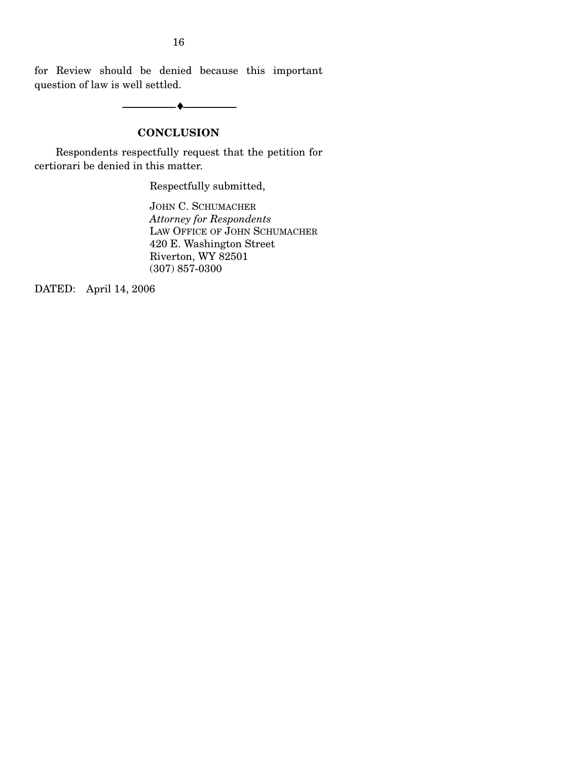for Review should be denied because this important question of law is well settled.

--------------------------------- ♦ ---------------------------------

## **CONCLUSION**

 Respondents respectfully request that the petition for certiorari be denied in this matter.

Respectfully submitted,

JOHN C. SCHUMACHER *Attorney for Respondents* LAW OFFICE OF JOHN SCHUMACHER 420 E. Washington Street Riverton, WY 82501 (307) 857-0300

DATED: April 14, 2006

16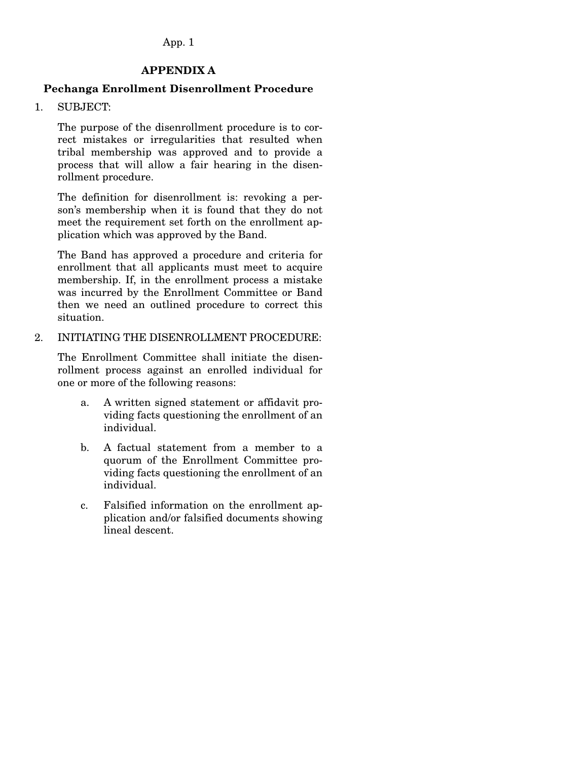#### **APPENDIX A**

## **Pechanga Enrollment Disenrollment Procedure**

1. SUBJECT:

The purpose of the disenrollment procedure is to correct mistakes or irregularities that resulted when tribal membership was approved and to provide a process that will allow a fair hearing in the disenrollment procedure.

The definition for disenrollment is: revoking a person's membership when it is found that they do not meet the requirement set forth on the enrollment application which was approved by the Band.

The Band has approved a procedure and criteria for enrollment that all applicants must meet to acquire membership. If, in the enrollment process a mistake was incurred by the Enrollment Committee or Band then we need an outlined procedure to correct this situation.

2. INITIATING THE DISENROLLMENT PROCEDURE:

The Enrollment Committee shall initiate the disenrollment process against an enrolled individual for one or more of the following reasons:

- a. A written signed statement or affidavit providing facts questioning the enrollment of an individual.
- b. A factual statement from a member to a quorum of the Enrollment Committee providing facts questioning the enrollment of an individual.
- c. Falsified information on the enrollment application and/or falsified documents showing lineal descent.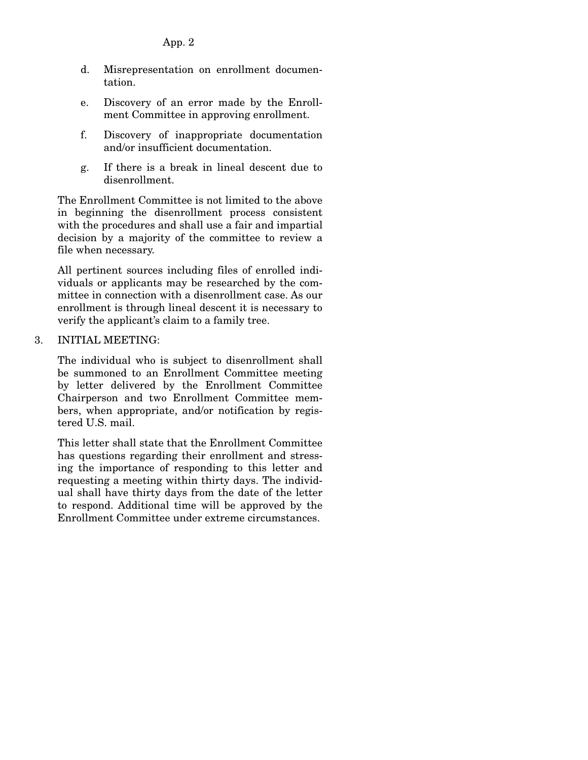- d. Misrepresentation on enrollment documentation.
- e. Discovery of an error made by the Enrollment Committee in approving enrollment.
- f. Discovery of inappropriate documentation and/or insufficient documentation.
- g. If there is a break in lineal descent due to disenrollment.

The Enrollment Committee is not limited to the above in beginning the disenrollment process consistent with the procedures and shall use a fair and impartial decision by a majority of the committee to review a file when necessary.

All pertinent sources including files of enrolled individuals or applicants may be researched by the committee in connection with a disenrollment case. As our enrollment is through lineal descent it is necessary to verify the applicant's claim to a family tree.

#### 3. INITIAL MEETING:

The individual who is subject to disenrollment shall be summoned to an Enrollment Committee meeting by letter delivered by the Enrollment Committee Chairperson and two Enrollment Committee members, when appropriate, and/or notification by registered U.S. mail.

This letter shall state that the Enrollment Committee has questions regarding their enrollment and stressing the importance of responding to this letter and requesting a meeting within thirty days. The individual shall have thirty days from the date of the letter to respond. Additional time will be approved by the Enrollment Committee under extreme circumstances.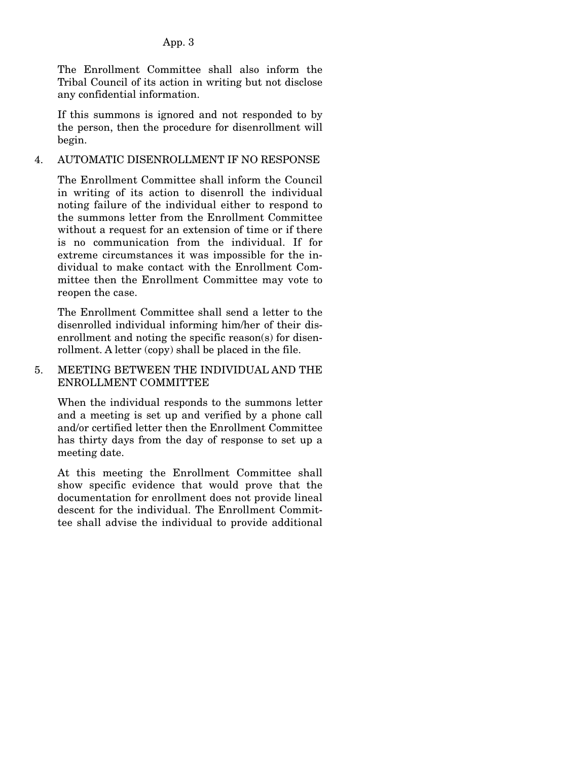The Enrollment Committee shall also inform the Tribal Council of its action in writing but not disclose any confidential information.

If this summons is ignored and not responded to by the person, then the procedure for disenrollment will begin.

### 4. AUTOMATIC DISENROLLMENT IF NO RESPONSE

The Enrollment Committee shall inform the Council in writing of its action to disenroll the individual noting failure of the individual either to respond to the summons letter from the Enrollment Committee without a request for an extension of time or if there is no communication from the individual. If for extreme circumstances it was impossible for the individual to make contact with the Enrollment Committee then the Enrollment Committee may vote to reopen the case.

The Enrollment Committee shall send a letter to the disenrolled individual informing him/her of their disenrollment and noting the specific reason(s) for disenrollment. A letter (copy) shall be placed in the file.

## 5. MEETING BETWEEN THE INDIVIDUAL AND THE ENROLLMENT COMMITTEE

When the individual responds to the summons letter and a meeting is set up and verified by a phone call and/or certified letter then the Enrollment Committee has thirty days from the day of response to set up a meeting date.

At this meeting the Enrollment Committee shall show specific evidence that would prove that the documentation for enrollment does not provide lineal descent for the individual. The Enrollment Committee shall advise the individual to provide additional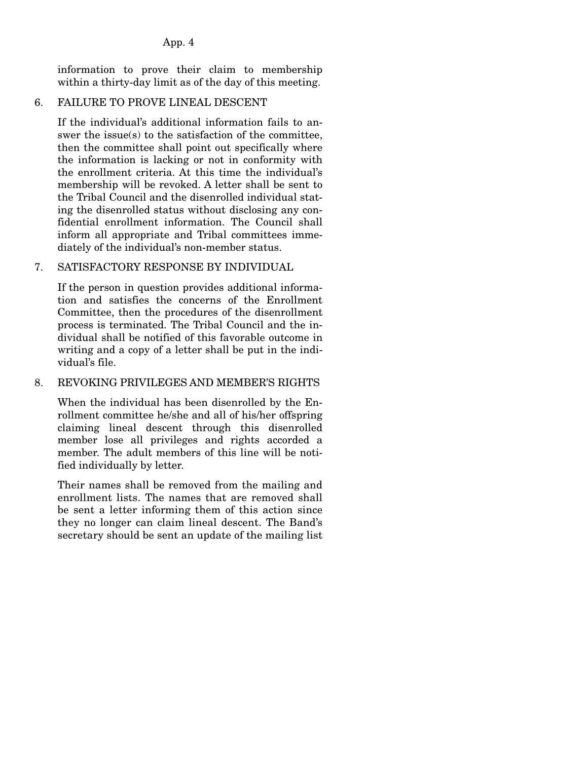information to prove their claim to membership within a thirty-day limit as of the day of this meeting.

### 6. FAILURE TO PROVE LINEAL DESCENT

If the individual's additional information fails to answer the issue(s) to the satisfaction of the committee, then the committee shall point out specifically where the information is lacking or not in conformity with the enrollment criteria. At this time the individual's membership will be revoked. A letter shall be sent to the Tribal Council and the disenrolled individual stating the disenrolled status without disclosing any confidential enrollment information. The Council shall inform all appropriate and Tribal committees immediately of the individual's non-member status.

## 7. SATISFACTORY RESPONSE BY INDIVIDUAL

If the person in question provides additional information and satisfies the concerns of the Enrollment Committee, then the procedures of the disenrollment process is terminated. The Tribal Council and the individual shall be notified of this favorable outcome in writing and a copy of a letter shall be put in the individual's file.

### 8. REVOKING PRIVILEGES AND MEMBER'S RIGHTS

When the individual has been disenrolled by the Enrollment committee he/she and all of his/her offspring claiming lineal descent through this disenrolled member lose all privileges and rights accorded a member. The adult members of this line will be notified individually by letter.

Their names shall be removed from the mailing and enrollment lists. The names that are removed shall be sent a letter informing them of this action since they no longer can claim lineal descent. The Band's secretary should be sent an update of the mailing list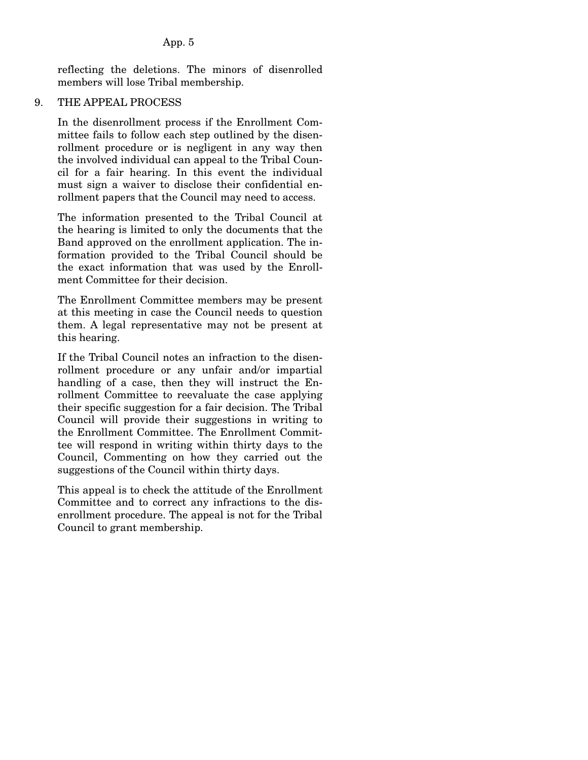reflecting the deletions. The minors of disenrolled members will lose Tribal membership.

#### 9. THE APPEAL PROCESS

In the disenrollment process if the Enrollment Committee fails to follow each step outlined by the disenrollment procedure or is negligent in any way then the involved individual can appeal to the Tribal Council for a fair hearing. In this event the individual must sign a waiver to disclose their confidential enrollment papers that the Council may need to access.

The information presented to the Tribal Council at the hearing is limited to only the documents that the Band approved on the enrollment application. The information provided to the Tribal Council should be the exact information that was used by the Enrollment Committee for their decision.

The Enrollment Committee members may be present at this meeting in case the Council needs to question them. A legal representative may not be present at this hearing.

If the Tribal Council notes an infraction to the disenrollment procedure or any unfair and/or impartial handling of a case, then they will instruct the Enrollment Committee to reevaluate the case applying their specific suggestion for a fair decision. The Tribal Council will provide their suggestions in writing to the Enrollment Committee. The Enrollment Committee will respond in writing within thirty days to the Council, Commenting on how they carried out the suggestions of the Council within thirty days.

This appeal is to check the attitude of the Enrollment Committee and to correct any infractions to the disenrollment procedure. The appeal is not for the Tribal Council to grant membership.